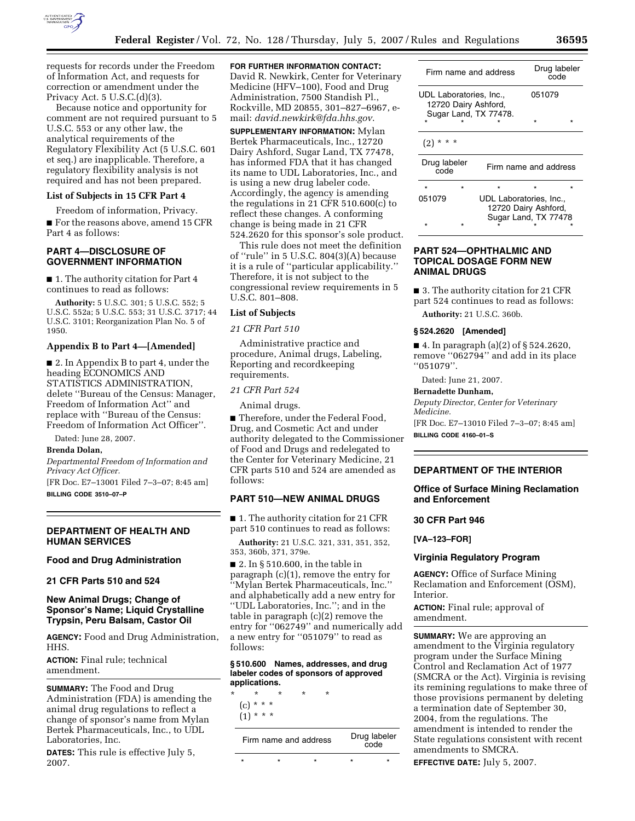

requests for records under the Freedom of Information Act, and requests for correction or amendment under the Privacy Act. 5 U.S.C.(d)(3).

Because notice and opportunity for comment are not required pursuant to 5 U.S.C. 553 or any other law, the analytical requirements of the Regulatory Flexibility Act (5 U.S.C. 601 et seq.) are inapplicable. Therefore, a regulatory flexibility analysis is not required and has not been prepared.

#### **List of Subjects in 15 CFR Part 4**

Freedom of information, Privacy. ■ For the reasons above, amend 15 CFR Part 4 as follows:

## **PART 4—DISCLOSURE OF GOVERNMENT INFORMATION**

■ 1. The authority citation for Part 4 continues to read as follows:

**Authority:** 5 U.S.C. 301; 5 U.S.C. 552; 5 U.S.C. 552a; 5 U.S.C. 553; 31 U.S.C. 3717; 44 U.S.C. 3101; Reorganization Plan No. 5 of 1950.

# **Appendix B to Part 4—[Amended]**

■ 2. In Appendix B to part 4, under the heading ECONOMICS AND STATISTICS ADMINISTRATION, delete ''Bureau of the Census: Manager, Freedom of Information Act'' and replace with ''Bureau of the Census: Freedom of Information Act Officer''.

Dated: June 28, 2007.

## **Brenda Dolan,**

*Departmental Freedom of Information and Privacy Act Officer.* 

[FR Doc. E7–13001 Filed 7–3–07; 8:45 am] **BILLING CODE 3510–07–P** 

## **DEPARTMENT OF HEALTH AND HUMAN SERVICES**

# **Food and Drug Administration**

## **21 CFR Parts 510 and 524**

# **New Animal Drugs; Change of Sponsor's Name; Liquid Crystalline Trypsin, Peru Balsam, Castor Oil**

**AGENCY:** Food and Drug Administration, HHS.

**ACTION:** Final rule; technical amendment.

**SUMMARY:** The Food and Drug Administration (FDA) is amending the animal drug regulations to reflect a change of sponsor's name from Mylan Bertek Pharmaceuticals, Inc., to UDL Laboratories, Inc.

**DATES:** This rule is effective July 5, 2007.

# **FOR FURTHER INFORMATION CONTACT:**

David R. Newkirk, Center for Veterinary Medicine (HFV–100), Food and Drug Administration, 7500 Standish Pl., Rockville, MD 20855, 301–827–6967, email: *david.newkirk@fda.hhs.gov*.

**SUPPLEMENTARY INFORMATION:** Mylan Bertek Pharmaceuticals, Inc., 12720 Dairy Ashford, Sugar Land, TX 77478, has informed FDA that it has changed its name to UDL Laboratories, Inc., and is using a new drug labeler code. Accordingly, the agency is amending the regulations in 21 CFR 510.600(c) to reflect these changes. A conforming change is being made in 21 CFR 524.2620 for this sponsor's sole product.

This rule does not meet the definition of ''rule'' in 5 U.S.C. 804(3)(A) because it is a rule of ''particular applicability.'' Therefore, it is not subject to the congressional review requirements in 5 U.S.C. 801–808.

## **List of Subjects**

*21 CFR Part 510* 

Administrative practice and procedure, Animal drugs, Labeling, Reporting and recordkeeping requirements.

#### *21 CFR Part 524*

Animal drugs.

■ Therefore, under the Federal Food, Drug, and Cosmetic Act and under authority delegated to the Commissioner of Food and Drugs and redelegated to the Center for Veterinary Medicine, 21 CFR parts 510 and 524 are amended as follows:

# **PART 510—NEW ANIMAL DRUGS**

■ 1. The authority citation for 21 CFR part 510 continues to read as follows:

**Authority:** 21 U.S.C. 321, 331, 351, 352, 353, 360b, 371, 379e.

■ 2. In § 510.600, in the table in paragraph (c)(1), remove the entry for ''Mylan Bertek Pharmaceuticals, Inc.'' and alphabetically add a new entry for ''UDL Laboratories, Inc.''; and in the table in paragraph (c)(2) remove the entry for ''062749'' and numerically add a new entry for ''051079'' to read as follows:

### **§ 510.600 Names, addresses, and drug labeler codes of sponsors of approved applications.**

\* \* \* \* \* (c) \* \* \*

| $(1)$ * * * |  |  |
|-------------|--|--|
|             |  |  |

| Firm name and address |  |  | Drug labeler<br>code |  |  |
|-----------------------|--|--|----------------------|--|--|
|                       |  |  |                      |  |  |

| Firm name and address                                                    |  | Drug labeler<br>code                                                    |        |  |  |  |
|--------------------------------------------------------------------------|--|-------------------------------------------------------------------------|--------|--|--|--|
| UDL Laboratories, Inc.,<br>12720 Dairy Ashford,<br>Sugar Land, TX 77478. |  |                                                                         | 051079 |  |  |  |
|                                                                          |  |                                                                         |        |  |  |  |
| * *<br>(2)                                                               |  |                                                                         |        |  |  |  |
| Drug labeler<br>code                                                     |  | Firm name and address                                                   |        |  |  |  |
| $\star$                                                                  |  | $\star$                                                                 |        |  |  |  |
| 051079                                                                   |  | UDL Laboratories, Inc.,<br>12720 Dairy Ashford,<br>Sugar Land, TX 77478 |        |  |  |  |
|                                                                          |  |                                                                         |        |  |  |  |

# **PART 524—OPHTHALMIC AND TOPICAL DOSAGE FORM NEW ANIMAL DRUGS**

■ 3. The authority citation for 21 CFR part 524 continues to read as follows:

**Authority:** 21 U.S.C. 360b.

## **§ 524.2620 [Amended]**

■ 4. In paragraph (a)(2) of § 524.2620, remove ''062794'' and add in its place ''051079''.

Dated: June 21, 2007.

## **Bernadette Dunham,**

*Deputy Director, Center for Veterinary Medicine.*  [FR Doc. E7–13010 Filed 7–3–07; 8:45 am] **BILLING CODE 4160–01–S** 

# **DEPARTMENT OF THE INTERIOR**

# **Office of Surface Mining Reclamation**

**and Enforcement** 

## **30 CFR Part 946**

**[VA–123–FOR]** 

## **Virginia Regulatory Program**

**AGENCY:** Office of Surface Mining Reclamation and Enforcement (OSM), Interior.

**ACTION:** Final rule; approval of amendment.

**SUMMARY:** We are approving an amendment to the Virginia regulatory program under the Surface Mining Control and Reclamation Act of 1977 (SMCRA or the Act). Virginia is revising its remining regulations to make three of those provisions permanent by deleting a termination date of September 30, 2004, from the regulations. The amendment is intended to render the State regulations consistent with recent amendments to SMCRA.

**EFFECTIVE DATE:** July 5, 2007.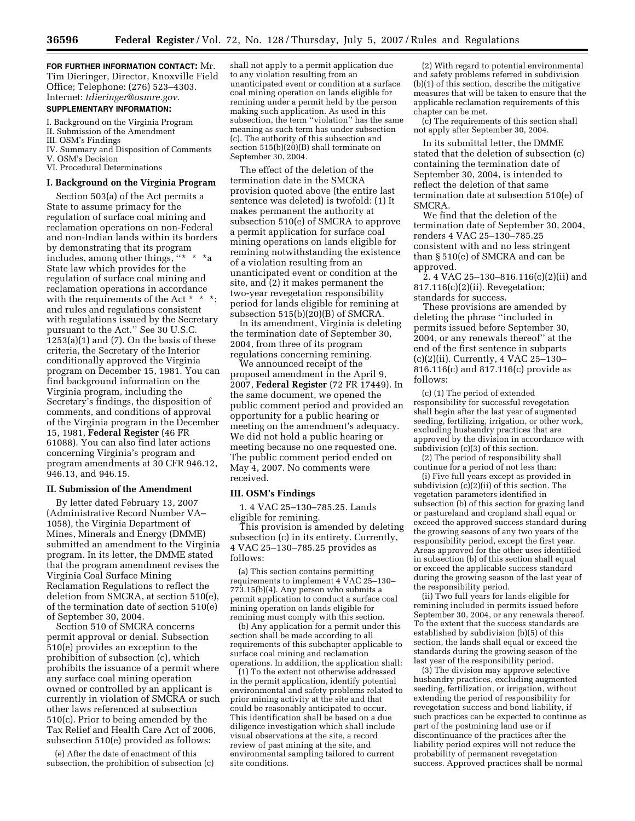**FOR FURTHER INFORMATION CONTACT:** Mr. Tim Dieringer, Director, Knoxville Field Office; Telephone: (276) 523–4303. Internet: *tdieringer@osmre.gov.* 

# **SUPPLEMENTARY INFORMATION:**

I. Background on the Virginia Program

- II. Submission of the Amendment III. OSM's Findings
- IV. Summary and Disposition of Comments
- V. OSM's Decision
- VI. Procedural Determinations

# **I. Background on the Virginia Program**

Section 503(a) of the Act permits a State to assume primacy for the regulation of surface coal mining and reclamation operations on non-Federal and non-Indian lands within its borders by demonstrating that its program includes, among other things, ''\* \* \*a State law which provides for the regulation of surface coal mining and reclamation operations in accordance with the requirements of the Act  $*$   $*$ and rules and regulations consistent with regulations issued by the Secretary pursuant to the Act.'' See 30 U.S.C.  $1253(a)(1)$  and  $(7)$ . On the basis of these criteria, the Secretary of the Interior conditionally approved the Virginia program on December 15, 1981. You can find background information on the Virginia program, including the Secretary's findings, the disposition of comments, and conditions of approval of the Virginia program in the December 15, 1981, **Federal Register** (46 FR 61088). You can also find later actions concerning Virginia's program and program amendments at 30 CFR 946.12, 946.13, and 946.15.

## **II. Submission of the Amendment**

By letter dated February 13, 2007 (Administrative Record Number VA– 1058), the Virginia Department of Mines, Minerals and Energy (DMME) submitted an amendment to the Virginia program. In its letter, the DMME stated that the program amendment revises the Virginia Coal Surface Mining Reclamation Regulations to reflect the deletion from SMCRA, at section 510(e), of the termination date of section 510(e) of September 30, 2004.

Section 510 of SMCRA concerns permit approval or denial. Subsection 510(e) provides an exception to the prohibition of subsection (c), which prohibits the issuance of a permit where any surface coal mining operation owned or controlled by an applicant is currently in violation of SMCRA or such other laws referenced at subsection 510(c). Prior to being amended by the Tax Relief and Health Care Act of 2006, subsection 510(e) provided as follows:

(e) After the date of enactment of this subsection, the prohibition of subsection (c)

shall not apply to a permit application due to any violation resulting from an unanticipated event or condition at a surface coal mining operation on lands eligible for remining under a permit held by the person making such application. As used in this subsection, the term ''violation'' has the same meaning as such term has under subsection (c). The authority of this subsection and section 515(b)(20)(B) shall terminate on September 30, 2004.

The effect of the deletion of the termination date in the SMCRA provision quoted above (the entire last sentence was deleted) is twofold: (1) It makes permanent the authority at subsection 510(e) of SMCRA to approve a permit application for surface coal mining operations on lands eligible for remining notwithstanding the existence of a violation resulting from an unanticipated event or condition at the site, and (2) it makes permanent the two-year revegetation responsibility period for lands eligible for remining at subsection 515(b)(20)(B) of SMCRA.

In its amendment, Virginia is deleting the termination date of September 30, 2004, from three of its program regulations concerning remining.

We announced receipt of the proposed amendment in the April 9, 2007, **Federal Register** (72 FR 17449). In the same document, we opened the public comment period and provided an opportunity for a public hearing or meeting on the amendment's adequacy. We did not hold a public hearing or meeting because no one requested one. The public comment period ended on May 4, 2007. No comments were received.

## **III. OSM's Findings**

1. 4 VAC 25–130–785.25. Lands eligible for remining.

This provision is amended by deleting subsection (c) in its entirety. Currently, 4 VAC 25–130–785.25 provides as follows:

(a) This section contains permitting requirements to implement 4 VAC 25–130– 773.15(b)(4). Any person who submits a permit application to conduct a surface coal mining operation on lands eligible for remining must comply with this section.

(b) Any application for a permit under this section shall be made according to all requirements of this subchapter applicable to surface coal mining and reclamation operations. In addition, the application shall:

(1) To the extent not otherwise addressed in the permit application, identify potential environmental and safety problems related to prior mining activity at the site and that could be reasonably anticipated to occur. This identification shall be based on a due diligence investigation which shall include visual observations at the site, a record review of past mining at the site, and environmental sampling tailored to current site conditions.

(2) With regard to potential environmental and safety problems referred in subdivision (b)(1) of this section, describe the mitigative measures that will be taken to ensure that the applicable reclamation requirements of this chapter can be met.

(c) The requirements of this section shall not apply after September 30, 2004.

In its submittal letter, the DMME stated that the deletion of subsection (c) containing the termination date of September 30, 2004, is intended to reflect the deletion of that same termination date at subsection 510(e) of SMCRA.

We find that the deletion of the termination date of September 30, 2004, renders 4 VAC 25–130–785.25 consistent with and no less stringent than § 510(e) of SMCRA and can be approved.

2. 4 VAC 25–130–816.116(c)(2)(ii) and 817.116(c)(2)(ii). Revegetation; standards for success.

These provisions are amended by deleting the phrase ''included in permits issued before September 30, 2004, or any renewals thereof'' at the end of the first sentence in subparts (c)(2)(ii). Currently, 4 VAC 25–130– 816.116(c) and 817.116(c) provide as follows:

(c) (1) The period of extended responsibility for successful revegetation shall begin after the last year of augmented seeding, fertilizing, irrigation, or other work, excluding husbandry practices that are approved by the division in accordance with subdivision (c)(3) of this section.

(2) The period of responsibility shall continue for a period of not less than:

(i) Five full years except as provided in subdivision (c)(2)(ii) of this section. The vegetation parameters identified in subsection (b) of this section for grazing land or pastureland and cropland shall equal or exceed the approved success standard during the growing seasons of any two years of the responsibility period, except the first year. Areas approved for the other uses identified in subsection (b) of this section shall equal or exceed the applicable success standard during the growing season of the last year of the responsibility period.

(ii) Two full years for lands eligible for remining included in permits issued before September 30, 2004, or any renewals thereof. To the extent that the success standards are established by subdivision (b)(5) of this section, the lands shall equal or exceed the standards during the growing season of the last year of the responsibility period.

(3) The division may approve selective husbandry practices, excluding augmented seeding, fertilization, or irrigation, without extending the period of responsibility for revegetation success and bond liability, if such practices can be expected to continue as part of the postmining land use or if discontinuance of the practices after the liability period expires will not reduce the probability of permanent revegetation success. Approved practices shall be normal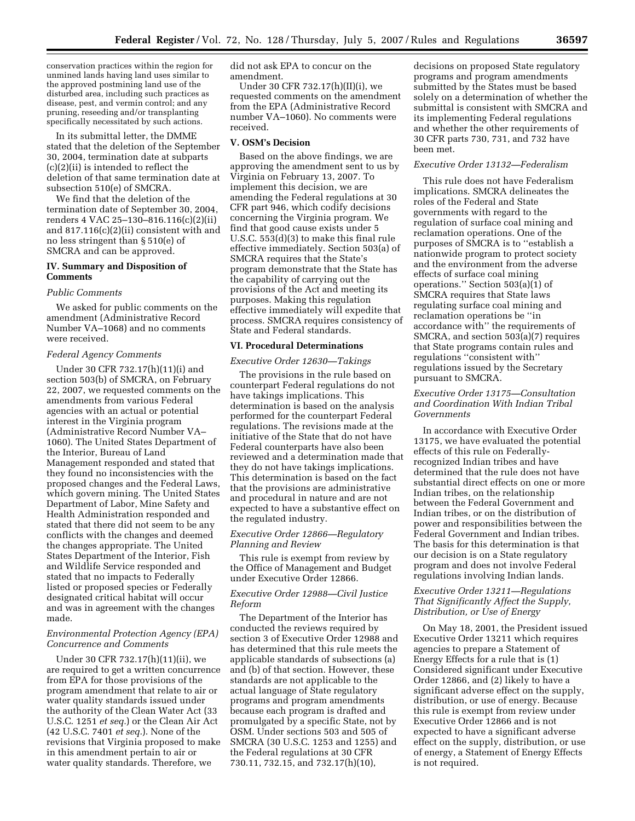conservation practices within the region for unmined lands having land uses similar to the approved postmining land use of the disturbed area, including such practices as disease, pest, and vermin control; and any pruning, reseeding and/or transplanting specifically necessitated by such actions.

In its submittal letter, the DMME stated that the deletion of the September 30, 2004, termination date at subparts (c)(2)(ii) is intended to reflect the deletion of that same termination date at subsection 510(e) of SMCRA.

We find that the deletion of the termination date of September 30, 2004, renders 4 VAC 25–130–816.116(c)(2)(ii) and 817.116(c)(2)(ii) consistent with and no less stringent than § 510(e) of SMCRA and can be approved.

# **IV. Summary and Disposition of Comments**

## *Public Comments*

We asked for public comments on the amendment (Administrative Record Number VA–1068) and no comments were received.

#### *Federal Agency Comments*

Under 30 CFR 732.17(h)(11)(i) and section 503(b) of SMCRA, on February 22, 2007, we requested comments on the amendments from various Federal agencies with an actual or potential interest in the Virginia program (Administrative Record Number VA– 1060). The United States Department of the Interior, Bureau of Land Management responded and stated that they found no inconsistencies with the proposed changes and the Federal Laws, which govern mining. The United States Department of Labor, Mine Safety and Health Administration responded and stated that there did not seem to be any conflicts with the changes and deemed the changes appropriate. The United States Department of the Interior, Fish and Wildlife Service responded and stated that no impacts to Federally listed or proposed species or Federally designated critical habitat will occur and was in agreement with the changes made.

## *Environmental Protection Agency (EPA) Concurrence and Comments*

Under 30 CFR 732.17(h)(11)(ii), we are required to get a written concurrence from EPA for those provisions of the program amendment that relate to air or water quality standards issued under the authority of the Clean Water Act (33 U.S.C. 1251 *et seq.*) or the Clean Air Act (42 U.S.C. 7401 *et seq.*). None of the revisions that Virginia proposed to make in this amendment pertain to air or water quality standards. Therefore, we

did not ask EPA to concur on the amendment.

Under 30 CFR 732.17(h)(II)(i), we requested comments on the amendment from the EPA (Administrative Record number VA–1060). No comments were received.

## **V. OSM's Decision**

Based on the above findings, we are approving the amendment sent to us by Virginia on February 13, 2007. To implement this decision, we are amending the Federal regulations at 30 CFR part 946, which codify decisions concerning the Virginia program. We find that good cause exists under 5 U.S.C. 553(d)(3) to make this final rule effective immediately. Section 503(a) of SMCRA requires that the State's program demonstrate that the State has the capability of carrying out the provisions of the Act and meeting its purposes. Making this regulation effective immediately will expedite that process. SMCRA requires consistency of State and Federal standards.

# **VI. Procedural Determinations**

#### *Executive Order 12630—Takings*

The provisions in the rule based on counterpart Federal regulations do not have takings implications. This determination is based on the analysis performed for the counterpart Federal regulations. The revisions made at the initiative of the State that do not have Federal counterparts have also been reviewed and a determination made that they do not have takings implications. This determination is based on the fact that the provisions are administrative and procedural in nature and are not expected to have a substantive effect on the regulated industry.

# *Executive Order 12866—Regulatory Planning and Review*

This rule is exempt from review by the Office of Management and Budget under Executive Order 12866.

## *Executive Order 12988—Civil Justice Reform*

The Department of the Interior has conducted the reviews required by section 3 of Executive Order 12988 and has determined that this rule meets the applicable standards of subsections (a) and (b) of that section. However, these standards are not applicable to the actual language of State regulatory programs and program amendments because each program is drafted and promulgated by a specific State, not by OSM. Under sections 503 and 505 of SMCRA (30 U.S.C. 1253 and 1255) and the Federal regulations at 30 CFR 730.11, 732.15, and 732.17(h)(10),

decisions on proposed State regulatory programs and program amendments submitted by the States must be based solely on a determination of whether the submittal is consistent with SMCRA and its implementing Federal regulations and whether the other requirements of 30 CFR parts 730, 731, and 732 have been met.

# *Executive Order 13132—Federalism*

This rule does not have Federalism implications. SMCRA delineates the roles of the Federal and State governments with regard to the regulation of surface coal mining and reclamation operations. One of the purposes of SMCRA is to ''establish a nationwide program to protect society and the environment from the adverse effects of surface coal mining operations.'' Section 503(a)(1) of SMCRA requires that State laws regulating surface coal mining and reclamation operations be ''in accordance with'' the requirements of SMCRA, and section 503(a)(7) requires that State programs contain rules and regulations ''consistent with'' regulations issued by the Secretary pursuant to SMCRA.

# *Executive Order 13175—Consultation and Coordination With Indian Tribal Governments*

In accordance with Executive Order 13175, we have evaluated the potential effects of this rule on Federallyrecognized Indian tribes and have determined that the rule does not have substantial direct effects on one or more Indian tribes, on the relationship between the Federal Government and Indian tribes, or on the distribution of power and responsibilities between the Federal Government and Indian tribes. The basis for this determination is that our decision is on a State regulatory program and does not involve Federal regulations involving Indian lands.

# *Executive Order 13211—Regulations That Significantly Affect the Supply, Distribution, or Use of Energy*

On May 18, 2001, the President issued Executive Order 13211 which requires agencies to prepare a Statement of Energy Effects for a rule that is (1) Considered significant under Executive Order 12866, and (2) likely to have a significant adverse effect on the supply, distribution, or use of energy. Because this rule is exempt from review under Executive Order 12866 and is not expected to have a significant adverse effect on the supply, distribution, or use of energy, a Statement of Energy Effects is not required.